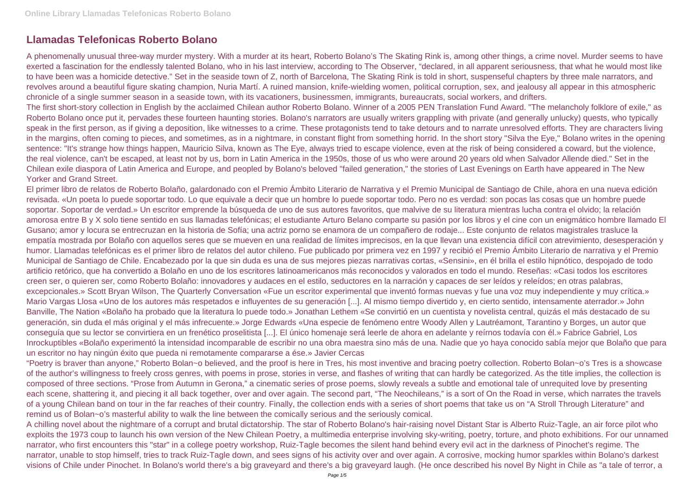# **Llamadas Telefonicas Roberto Bolano**

A phenomenally unusual three-way murder mystery. With a murder at its heart, Roberto Bolano's The Skating Rink is, among other things, a crime novel. Murder seems to have exerted a fascination for the endlessly talented Bolano, who in his last interview, according to The Observer, "declared, in all apparent seriousness, that what he would most like to have been was a homicide detective." Set in the seaside town of Z, north of Barcelona, The Skating Rink is told in short, suspenseful chapters by three male narrators, and revolves around a beautiful figure skating champion, Nuria Martí. A ruined mansion, knife-wielding women, political corruption, sex, and jealousy all appear in this atmospheric chronicle of a single summer season in a seaside town, with its vacationers, businessmen, immigrants, bureaucrats, social workers, and drifters. The first short-story collection in English by the acclaimed Chilean author Roberto Bolano. Winner of a 2005 PEN Translation Fund Award. "The melancholy folklore of exile," as Roberto Bolano once put it, pervades these fourteen haunting stories. Bolano's narrators are usually writers grappling with private (and generally unlucky) quests, who typically speak in the first person, as if giving a deposition, like witnesses to a crime. These protagonists tend to take detours and to narrate unresolved efforts. They are characters living in the margins, often coming to pieces, and sometimes, as in a nightmare, in constant flight from something horrid. In the short story "Silva the Eye," Bolano writes in the opening sentence: "It's strange how things happen, Mauricio Silva, known as The Eye, always tried to escape violence, even at the risk of being considered a coward, but the violence, the real violence, can't be escaped, at least not by us, born in Latin America in the 1950s, those of us who were around 20 years old when Salvador Allende died." Set in the Chilean exile diaspora of Latin America and Europe, and peopled by Bolano's beloved "failed generation," the stories of Last Evenings on Earth have appeared in The New Yorker and Grand Street.

El primer libro de relatos de Roberto Bolaño, galardonado con el Premio Ámbito Literario de Narrativa y el Premio Municipal de Santiago de Chile, ahora en una nueva edición revisada. «Un poeta lo puede soportar todo. Lo que equivale a decir que un hombre lo puede soportar todo. Pero no es verdad: son pocas las cosas que un hombre puede soportar. Soportar de verdad.» Un escritor emprende la búsqueda de uno de sus autores favoritos, que malvive de su literatura mientras lucha contra el olvido; la relación amorosa entre B y X solo tiene sentido en sus llamadas telefónicas; el estudiante Arturo Belano comparte su pasión por los libros y el cine con un enigmático hombre llamado El Gusano; amor y locura se entrecruzan en la historia de Sofía; una actriz porno se enamora de un compañero de rodaje... Este conjunto de relatos magistrales trasluce la empatía mostrada por Bolaño con aquellos seres que se mueven en una realidad de límites imprecisos, en la que llevan una existencia difícil con atrevimiento, desesperación y humor. Llamadas telefónicas es el primer libro de relatos del autor chileno. Fue publicado por primera vez en 1997 y recibió el Premio Ámbito Literario de narrativa y el Premio Municipal de Santiago de Chile. Encabezado por la que sin duda es una de sus mejores piezas narrativas cortas, «Sensini», en él brilla el estilo hipnótico, despojado de todo artificio retórico, que ha convertido a Bolaño en uno de los escritores latinoamericanos más reconocidos y valorados en todo el mundo. Reseñas: «Casi todos los escritores creen ser, o quieren ser, como Roberto Bolaño: innovadores y audaces en el estilo, seductores en la narración y capaces de ser leídos y releídos; en otras palabras, excepcionales.» Scott Bryan Wilson, The Quarterly Conversation «Fue un escritor experimental que inventó formas nuevas y fue una voz muy independiente y muy crítica.» Mario Vargas Llosa «Uno de los autores más respetados e influyentes de su generación [...]. Al mismo tiempo divertido y, en cierto sentido, intensamente aterrador.» John Banville, The Nation «Bolaño ha probado que la literatura lo puede todo.» Jonathan Lethem «Se convirtió en un cuentista y novelista central, quizás el más destacado de su generación, sin duda el más original y el más infrecuente.» Jorge Edwards «Una especie de fenómeno entre Woody Allen y Lautréamont, Tarantino y Borges, un autor que conseguía que su lector se convirtiera en un frenético proselitista [...]. El único homenaje será leerle de ahora en adelante y reírnos todavía con él.» Fabrice Gabriel, Los Inrockuptibles «Bolaño experimentó la intensidad incomparable de escribir no una obra maestra sino más de una. Nadie que yo haya conocido sabía mejor que Bolaño que para un escritor no hay ningún éxito que pueda ni remotamente compararse a ése.» Javier Cercas

"Poetry is braver than anyone," Roberto Bolan~o believed, and the proof is here in Tres, his most inventive and bracing poetry collection. Roberto Bolan~o's Tres is a showcase of the author's willingness to freely cross genres, with poems in prose, stories in verse, and flashes of writing that can hardly be categorized. As the title implies, the collection is composed of three sections. "Prose from Autumn in Gerona," a cinematic series of prose poems, slowly reveals a subtle and emotional tale of unrequited love by presenting each scene, shattering it, and piecing it all back together, over and over again. The second part, "The Neochileans," is a sort of On the Road in verse, which narrates the travels of a young Chilean band on tour in the far reaches of their country. Finally, the collection ends with a series of short poems that take us on "A Stroll Through Literature" and remind us of Bolan~o's masterful ability to walk the line between the comically serious and the seriously comical.

A chilling novel about the nightmare of a corrupt and brutal dictatorship. The star of Roberto Bolano's hair-raising novel Distant Star is Alberto Ruiz-Tagle, an air force pilot who exploits the 1973 coup to launch his own version of the New Chilean Poetry, a multimedia enterprise involving sky-writing, poetry, torture, and photo exhibitions. For our unnamed narrator, who first encounters this "star" in a college poetry workshop, Ruiz-Tagle becomes the silent hand behind every evil act in the darkness of Pinochet's regime. The narrator, unable to stop himself, tries to track Ruiz-Tagle down, and sees signs of his activity over and over again. A corrosive, mocking humor sparkles within Bolano's darkest visions of Chile under Pinochet. In Bolano's world there's a big graveyard and there's a big graveyard laugh. (He once described his novel By Night in Chile as "a tale of terror, a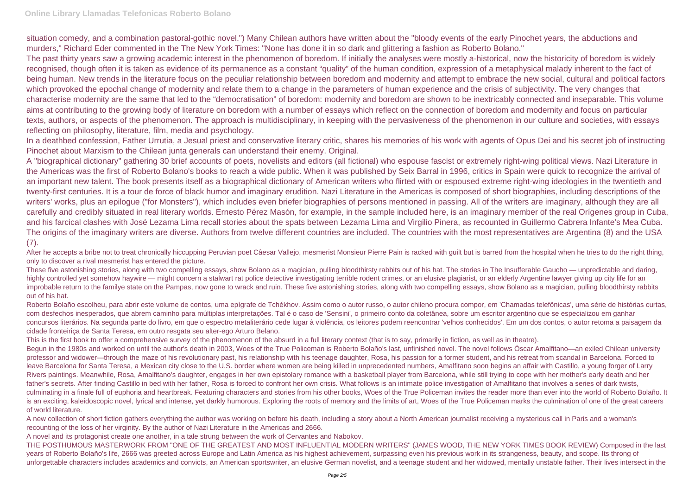## **Online Library Llamadas Telefonicas Roberto Bolano**

situation comedy, and a combination pastoral-gothic novel.") Many Chilean authors have written about the "bloody events of the early Pinochet years, the abductions and murders," Richard Eder commented in the The New York Times: "None has done it in so dark and glittering a fashion as Roberto Bolano." The past thirty years saw a growing academic interest in the phenomenon of boredom. If initially the analyses were mostly a-historical, now the historicity of boredom is widely recognised, though often it is taken as evidence of its permanence as a constant "quality" of the human condition, expression of a metaphysical malady inherent to the fact of being human. New trends in the literature focus on the peculiar relationship between boredom and modernity and attempt to embrace the new social, cultural and political factors which provoked the epochal change of modernity and relate them to a change in the parameters of human experience and the crisis of subjectivity. The very changes that characterise modernity are the same that led to the "democratisation" of boredom: modernity and boredom are shown to be inextricably connected and inseparable. This volume aims at contributing to the growing body of literature on boredom with a number of essays which reflect on the connection of boredom and modernity and focus on particular texts, authors, or aspects of the phenomenon. The approach is multidisciplinary, in keeping with the pervasiveness of the phenomenon in our culture and societies, with essays reflecting on philosophy, literature, film, media and psychology.

A "biographical dictionary" gathering 30 brief accounts of poets, novelists and editors (all fictional) who espouse fascist or extremely right-wing political views. Nazi Literature in the Americas was the first of Roberto Bolano's books to reach a wide public. When it was published by Seix Barral in 1996, critics in Spain were quick to recognize the arrival of an important new talent. The book presents itself as a biographical dictionary of American writers who flirted with or espoused extreme right-wing ideologies in the twentieth and twenty-first centuries. It is a tour de force of black humor and imaginary erudition. Nazi Literature in the Americas is composed of short biographies, including descriptions of the writers' works, plus an epilogue ("for Monsters"), which includes even briefer biographies of persons mentioned in passing. All of the writers are imaginary, although they are all carefully and credibly situated in real literary worlds. Ernesto Pérez Masón, for example, in the sample included here, is an imaginary member of the real Orígenes group in Cuba, and his farcical clashes with José Lezama Lima recall stories about the spats between Lezama Lima and Virgilio Pinera, as recounted in Guillermo Cabrera Infante's Mea Cuba. The origins of the imaginary writers are diverse. Authors from twelve different countries are included. The countries with the most representatives are Argentina (8) and the USA  $(7).$ 

In a deathbed confession, Father Urrutia, a Jesual priest and conservative literary critic, shares his memories of his work with agents of Opus Dei and his secret job of instructing Pinochet about Marxism to the Chilean junta generals can understand their enemy. Original.

After he accepts a bribe not to treat chronically hiccupping Peruvian poet Câesar Vallejo, mesmerist Monsieur Pierre Pain is racked with quilt but is barred from the hospital when he tries to do the right thing, only to discover a rival mesmerist has entered the picture.

Roberto Bolaño escolheu, para abrir este volume de contos, uma epígrafe de Tchékhov. Assim como o autor russo, o autor chileno procura compor, em 'Chamadas telefônicas', uma série de histórias curtas, com desfechos inesperados, que abrem caminho para múltiplas interpretações. Tal é o caso de 'Sensini', o primeiro conto da coletânea, sobre um escritor argentino que se especializou em ganhar concursos literários. Na segunda parte do livro, em que o espectro metaliterário cede lugar à violência, os leitores podem reencontrar 'velhos conhecidos'. Em um dos contos, o autor retoma a paisagem da cidade fronteiriça de Santa Teresa, em outro resgata seu alter-ego Arturo Belano.

These five astonishing stories, along with two compelling essays, show Bolano as a magician, pulling bloodthirsty rabbits out of his hat. The stories in The Insufferable Gaucho — unpredictable and daring, highly controlled yet somehow haywire — might concern a stalwart rat police detective investigating terrible rodent crimes, or an elusive plagiarist, or an elderly Argentine lawyer giving up city life for an improbable return to the familye state on the Pampas, now gone to wrack and ruin. These five astonishing stories, along with two compelling essays, show Bolano as a magician, pulling bloodthirsty rabbits out of his hat.

This is the first book to offer a comprehensive survey of the phenomenon of the absurd in a full literary context (that is to say, primarily in fiction, as well as in theatre). Begun in the 1980s and worked on until the author's death in 2003, Woes of the True Policeman is Roberto Bolaño's last, unfinished novel. The novel follows Óscar Amalfitano—an exiled Chilean university professor and widower—through the maze of his revolutionary past, his relationship with his teenage daughter, Rosa, his passion for a former student, and his retreat from scandal in Barcelona. Forced to leave Barcelona for Santa Teresa, a Mexican city close to the U.S. border where women are being killed in unprecedented numbers, Amalfitano soon begins an affair with Castillo, a young forger of Larry Rivers paintings. Meanwhile, Rosa, Amalfitano's daughter, engages in her own epistolary romance with a basketball player from Barcelona, while still trying to cope with her mother's early death and her father's secrets. After finding Castillo in bed with her father, Rosa is forced to confront her own crisis. What follows is an intimate police investigation of Amalfitano that involves a series of dark twists, culminating in a finale full of euphoria and heartbreak. Featuring characters and stories from his other books, Woes of the True Policeman invites the reader more than ever into the world of Roberto Bolaño. It is an exciting, kaleidoscopic novel, lyrical and intense, yet darkly humorous. Exploring the roots of memory and the limits of art, Woes of the True Policeman marks the culmination of one of the great careers of world literature.

A new collection of short fiction gathers everything the author was working on before his death, including a story about a North American journalist receiving a mysterious call in Paris and a woman's recounting of the loss of her virginity. By the author of Nazi Literature in the Americas and 2666.

A novel and its protagonist create one another, in a tale strung between the work of Cervantes and Nabokov.

THE POSTHUMOUS MASTERWORK FROM "ONE OF THE GREATEST AND MOST INFLUENTIAL MODERN WRITERS" (JAMES WOOD, THE NEW YORK TIMES BOOK REVIEW) Composed in the last years of Roberto Bolaño's life, 2666 was greeted across Europe and Latin America as his highest achievement, surpassing even his previous work in its strangeness, beauty, and scope. Its throng of unforgettable characters includes academics and convicts, an American sportswriter, an elusive German novelist, and a teenage student and her widowed, mentally unstable father. Their lives intersect in the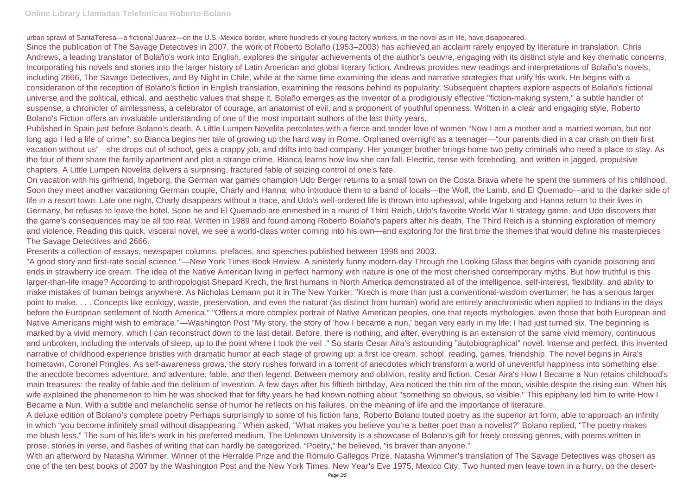## **Online Library Llamadas Telefonicas Roberto Bolano**

urban sprawl of SantaTeresa—a fictional Juárez—on the U.S.-Mexico border, where hundreds of young factory workers, in the novel as in life, have disappeared. Since the publication of The Savage Detectives in 2007, the work of Roberto Bolaño (1953–2003) has achieved an acclaim rarely enjoyed by literature in translation. Chris Andrews, a leading translator of Bolaño's work into English, explores the singular achievements of the author's oeuvre, engaging with its distinct style and key thematic concerns, incorporating his novels and stories into the larger history of Latin American and global literary fiction. Andrews provides new readings and interpretations of Bolaño's novels, including 2666, The Savage Detectives, and By Night in Chile, while at the same time examining the ideas and narrative strategies that unify his work. He begins with a consideration of the reception of Bolaño's fiction in English translation, examining the reasons behind its popularity. Subsequent chapters explore aspects of Bolaño's fictional universe and the political, ethical, and aesthetic values that shape it. Bolaño emerges as the inventor of a prodigiously effective "fiction-making system," a subtle handler of suspense, a chronicler of aimlessness, a celebrator of courage, an anatomist of evil, and a proponent of youthful openness. Written in a clear and engaging style, Roberto Bolano's Fiction offers an invaluable understanding of one of the most important authors of the last thirty years.

Published in Spain just before Bolano's death, A Little Lumpen Novelita percolates with a fierce and tender love of women "Now I am a mother and a married woman, but not long ago I led a life of crime": so Bianca begins her tale of growing up the hard way in Rome. Orphaned overnight as a teenager—"our parents died in a car crash on their first vacation without us"—she drops out of school, gets a crappy job, and drifts into bad company. Her younger brother brings home two petty criminals who need a place to stay. As the four of them share the family apartment and plot a strange crime, Bianca learns how low she can fall. Electric, tense with foreboding, and written in jagged, propulsive chapters, A Little Lumpen Novelita delivers a surprising, fractured fable of seizing control of one's fate.

On vacation with his girlfriend, Ingeborg, the German war games champion Udo Berger returns to a small town on the Costa Brava where he spent the summers of his childhood. Soon they meet another vacationing German couple, Charly and Hanna, who introduce them to a band of locals—the Wolf, the Lamb, and El Quemado—and to the darker side of life in a resort town. Late one night, Charly disappears without a trace, and Udo's well-ordered life is thrown into upheaval; while Ingeborg and Hanna return to their lives in Germany, he refuses to leave the hotel. Soon he and El Quemado are enmeshed in a round of Third Reich, Udo's favorite World War II strategy game, and Udo discovers that the game's consequences may be all too real. Written in 1989 and found among Roberto Bolaño's papers after his death, The Third Reich is a stunning exploration of memory and violence. Reading this quick, visceral novel, we see a world-class writer coming into his own—and exploring for the first time the themes that would define his masterpieces The Savage Detectives and 2666.

Presents a collection of essays, newspaper columns, prefaces, and speeches published between 1998 and 2003.

"A good story and first-rate social science."—New York Times Book Review. A sinisterly funny modern-day Through the Looking Glass that begins with cyanide poisoning and ends in strawberry ice cream. The idea of the Native American living in perfect harmony with nature is one of the most cherished contemporary myths. But how truthful is this larger-than-life image? According to anthropologist Shepard Krech, the first humans in North America demonstrated all of the intelligence, self-interest, flexibility, and ability to make mistakes of human beings anywhere. As Nicholas Lemann put it in The New Yorker, "Krech is more than just a conventional-wisdom overturner; he has a serious larger point to make. . . . Concepts like ecology, waste, preservation, and even the natural (as distinct from human) world are entirely anachronistic when applied to Indians in the days before the European settlement of North America." "Offers a more complex portrait of Native American peoples, one that rejects mythologies, even those that both European and Native Americans might wish to embrace."—Washington Post "My story, the story of 'how I became a nun,' began very early in my life; I had just turned six. The beginning is marked by a vivid memory, which I can reconstruct down to the last detail. Before, there is nothing, and after, everything is an extension of the same vivid memory, continuous and unbroken, including the intervals of sleep, up to the point where I took the veil ." So starts Cesar Aira's astounding "autobiographical" novel. Intense and perfect, this invented narrative of childhood experience bristles with dramatic humor at each stage of growing up: a first ice cream, school, reading, games, friendship. The novel begins in Aira's hometown, Coronel Pringles. As self-awareness grows, the story rushes forward in a torrent of anecdotes which transform a world of uneventful happiness into something else: the anecdote becomes adventure, and adventure, fable, and then legend. Between memory and oblivion, reality and fiction, Cesar Aira's How I Became a Nun retains childhood's main treasures: the reality of fable and the delirium of invention. A few days after his fiftieth birthday, Aira noticed the thin rim of the moon, visible despite the rising sun. When his wife explained the phenomenon to him he was shocked that for fifty years he had known nothing about "something so obvious, so visible." This epiphany led him to write How I Became a Nun. With a subtle and melancholic sense of humor he reflects on his failures, on the meaning of life and the importance of literature. A deluxe edition of Bolano's complete poetry Perhaps surprisingly to some of his fiction fans, Roberto Bolano touted poetry as the superior art form, able to approach an infinity in which "you become infinitely small without disappearing." When asked, "What makes you believe you're a better poet than a novelist?" Bolano replied, "The poetry makes me blush less." The sum of his life's work in his preferred medium, The Unknown University is a showcase of Bolano's gift for freely crossing genres, with poems written in prose, stories in verse, and flashes of writing that can hardly be categorized. "Poetry," he believed, "is braver than anyone." With an afterword by Natasha Wimmer. Winner of the Herralde Prize and the Rómulo Gallegos Prize. Natasha Wimmer's translation of The Savage Detectives was chosen as one of the ten best books of 2007 by the Washington Post and the New York Times. New Year's Eve 1975, Mexico City. Two hunted men leave town in a hurry, on the desert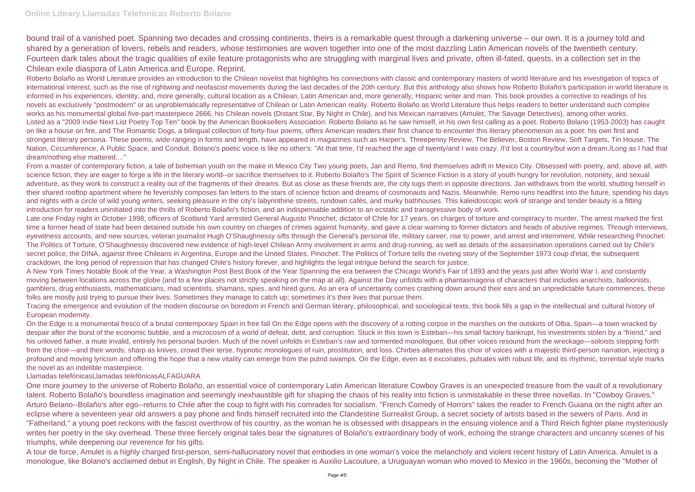bound trail of a vanished poet. Spanning two decades and crossing continents, theirs is a remarkable quest through a darkening universe – our own. It is a journey told and shared by a generation of lovers, rebels and readers, whose testimonies are woven together into one of the most dazzling Latin American novels of the twentieth century. Fourteen dark tales about the tragic qualities of exile feature protagonists who are struggling with marginal lives and private, often ill-fated, quests, in a collection set in the Chilean exile diaspora of Latin America and Europe. Reprint.

Roberto Bolaño as World Literature provides an introduction to the Chilean novelist that highlights his connections with classic and contemporary masters of world literature and his investigation of topics of international interest, such as the rise of rightwing and neofascist movements during the last decades of the 20th century. But this anthology also shows how Roberto Bolaño's participation in world literature is informed in his experiences, identity, and, more generally, cultural location as a Chilean, Latin American and, more generally, Hispanic writer and man. This book provides a corrective to readings of his novels as exclusively "postmodern" or as unproblematically representative of Chilean or Latin American reality. Roberto Bolaño as World Literature thus helps readers to better understand such complex works as his monumental global five-part masterpiece 2666, his Chilean novels (Distant Star, By Night in Chile), and his Mexican narratives (Amulet, The Savage Detectives), among other works. Listed as a "2009 Indie Next List Poetry Top Ten" book by the American Booksellers Association: Roberto Bolano as he saw himself, in his own first calling as a poet. Roberto Bolano (1953-2003) has caught on like a house on fire, and The Romantic Dogs, a bilingual collection of forty-four poems, offers American readers their first chance to encounter this literary phenomenon as a poet: his own first and strongest literary persona. These poems, wide-ranging in forms and length, have appeared in magazines such as Harper's, Threepenny Review, The Believer, Boston Review, Soft Targets, Tin House, The Nation, Circumference, A Public Space, and Conduit. Bolano's poetic voice is like no other's: "At that time, I'd reached the age of twenty/and I was crazy. /I'd lost a country/but won a dream./Long as I had that dream/nothing else mattered...."

Late one Friday night in October 1998, officers of Scotland Yard arrested General Augusto Pinochet, dictator of Chile for 17 years, on charges of torture and conspiracy to murder. The arrest marked the first time a former head of state had been detained outside his own country on charges of crimes against humanity, and gave a clear warning to former dictators and heads of abusive regimes. Through interviews, eyewitness accounts, and new sources, veteran journalist Hugh O'Shaughnessy sifts through the General's personal life, military career, rise to power, and arrest and internment. While researching Pinochet: The Politics of Torture, O'Shaughnessy discovered new evidence of high-level Chilean Army involvement in arms and drug-running, as well as details of the assassination operations carried out by Chile's secret police, the DINA, against three Chileans in Argentina, Europe and the United States. Pinochet: The Politics of Torture tells the riveting story of the September 1973 coup d'etat, the subsequent crackdown, the long period of repression that has changed Chile's history forever, and highlights the legal intrigue behind the search for justice.

From a master of contemporary fiction, a tale of bohemian youth on the make in Mexico City Two young poets, Jan and Remo, find themselves adrift in Mexico City. Obsessed with poetry, and, above all, with science fiction, they are eager to forge a life in the literary world--or sacrifice themselves to it. Roberto Bolaño's The Spirit of Science Fiction is a story of youth hungry for revolution, notoriety, and sexual adventure, as they work to construct a reality out of the fragments of their dreams. But as close as these friends are, the city tugs them in opposite directions. Jan withdraws from the world, shutting himself in their shared rooftop apartment where he feverishly composes fan letters to the stars of science fiction and dreams of cosmonauts and Nazis. Meanwhile, Remo runs headfirst into the future, spending his days and nights with a circle of wild young writers, seeking pleasure in the city's labyrinthine streets, rundown cafés, and murky bathhouses. This kaleidoscopic work of strange and tender beauty is a fitting introduction for readers uninitiated into the thrills of Roberto Bolaño's fiction, and an indispensable addition to an ecstatic and transgressive body of work.

A New York Times Notable Book of the Year, a Washington Post Best Book of the Year Spanning the era between the Chicago World's Fair of 1893 and the years just after World War I, and constantly moving between locations across the globe (and to a few places not strictly speaking on the map at all), Against the Day unfolds with a phantasmagoria of characters that includes anarchists, balloonists, gamblers, drug enthusiasts, mathematicians, mad scientists, shamans, spies, and hired guns. As an era of uncertainty comes crashing down around their ears and an unpredictable future commences, these folks are mostly just trying to pursue their lives. Sometimes they manage to catch up; sometimes it's their lives that pursue them.

Tracing the emergence and evolution of the modern discourse on boredom in French and German literary, philosophical, and sociological texts, this book fills a gap in the intellectual and cultural history of European modernity.

On the Edge is a monumental fresco of a brutal contemporary Spain in free fall On the Edge opens with the discovery of a rotting corpse in the marshes on the outskirts of Olba, Spain—a town wracked by despair after the burst of the economic bubble, and a microcosm of a world of defeat, debt, and corruption. Stuck in this town is Esteban—his small factory bankrupt, his investments stolen by a "friend," and his unloved father, a mute invalid, entirely his personal burden. Much of the novel unfolds in Esteban's raw and tormented monologues. But other voices resound from the wreckage—soloists stepping forth from the choir—and their words, sharp as knives, crowd their terse, hypnotic monologues of ruin, prostitution, and loss. Chirbes alternates this choir of voices with a majestic third-person narration, injecting a profound and moving lyricism and offering the hope that a new vitality can emerge from the putrid swamps. On the Edge, even as it excoriates, pulsates with robust life, and its rhythmic, torrential style marks the novel as an indelible masterpiece.

### Llamadas telefónicasLlamadas telefónicasALFAGUARA

One more journey to the universe of Roberto Bolaño, an essential voice of contemporary Latin American literature Cowboy Graves is an unexpected treasure from the vault of a revolutionary talent. Roberto Bolaño's boundless imagination and seemingly inexhaustible gift for shaping the chaos of his reality into fiction is unmistakable in these three novellas. In "Cowboy Graves," Arturo Belano--Bolaño's alter ego--returns to Chile after the coup to fight with his comrades for socialism. "French Comedy of Horrors" takes the reader to French Guiana on the night after an eclipse where a seventeen year old answers a pay phone and finds himself recruited into the Clandestine Surrealist Group, a secret society of artists based in the sewers of Paris. And in "Fatherland," a young poet reckons with the fascist overthrow of his country, as the woman he is obsessed with disappears in the ensuing violence and a Third Reich fighter plane mysteriously writes her poetry in the sky overhead. These three fiercely original tales bear the signatures of Bolaño's extraordinary body of work, echoing the strange characters and uncanny scenes of his triumphs, while deepening our reverence for his gifts.

A tour de force, Amulet is a highly charged first-person, semi-hallucinatory novel that embodies in one woman's voice the melancholy and violent recent history of Latin America. Amulet is a monologue, like Bolano's acclaimed debut in English, By Night in Chile. The speaker is Auxilio Lacouture, a Uruguayan woman who moved to Mexico in the 1960s, becoming the "Mother of